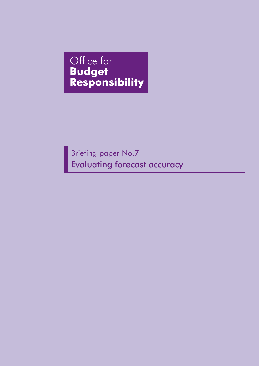# Office for **Budget<br>Responsibility**

Briefing paper No.7 Evaluating forecast accuracy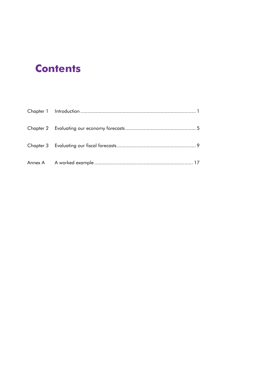# **Contents**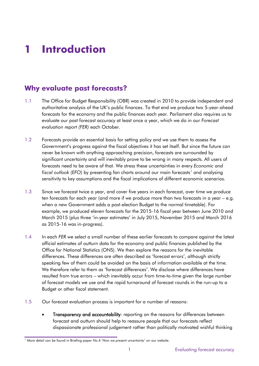# **1 Introduction**

# **Why evaluate past forecasts?**

- 1.1 The Office for Budget Responsibility (OBR) was created in 2010 to provide independent and authoritative analysis of the UK's public finances. To that end we produce two 5-year-ahead forecasts for the economy and the public finances each year. Parliament also requires us to evaluate our past forecast accuracy at least once a year, which we do in our *Forecast evaluation report (FER)* each October*.*
- 1.2 Forecasts provide an essential basis for setting policy and we use them to assess the Government's progress against the fiscal objectives it has set itself. But since the future can never be known with anything approaching precision, forecasts are surrounded by significant uncertainty and will inevitably prove to be wrong in many respects. All users of forecasts need to be aware of that. We stress these uncertainties in every *Economic and fiscal outlook* (*EFO*) by presenting fan charts around our main forecasts<sup>[1](#page-2-0)</sup> and analysing sensitivity to key assumptions and the fiscal implications of different economic scenarios.
- 1.3 Since we forecast twice a year, and cover five years in each forecast, over time we produce ten forecasts for each year (and more if we produce more than two forecasts in a year – e.g. when a new Government adds a post-election Budget to the normal timetable). For example, we produced eleven forecasts for the 2015-16 fiscal year between June 2010 and March 2015 (plus three 'in-year estimates' in July 2015, November 2015 and March 2016 as 2015-16 was in-progress).
- 1.4 In each *FER* we select a small number of these earlier forecasts to compare against the latest official estimates of outturn data for the economy and public finances published by the Office for National Statistics (ONS). We then explore the reasons for the inevitable differences. These differences are often described as 'forecast errors', although strictly speaking few of them could be avoided on the basis of information available at the time. We therefore refer to them as 'forecast differences'. We disclose where differences have resulted from true errors – which inevitably occur from time-to-time given the large number of forecast models we use and the rapid turnaround of forecast rounds in the run-up to a Budget or other fiscal statement.
- 1.5 Our forecast evaluation process is important for a number of reasons:
	- Transparency and accountability: reporting on the reasons for differences between forecast and outturn should help to reassure people that our forecasts reflect dispassionate professional judgement rather than politically motivated wishful thinking

<span id="page-2-0"></span><sup>1</sup> More detail can be found in Briefing paper No.4 '*How we present uncertainty'* on our website.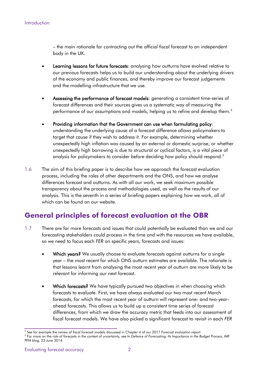– the main rationale for contracting out the official fiscal forecast to an independent body in the UK.

- Learning lessons for future forecasts: analysing how outturns have evolved relative to our previous forecasts helps us to build our understanding about the underlying drivers of the economy and public finances, and thereby improve our forecast judgements and the modelling infrastructure that we use.
- Assessing the performance of forecast models: generating a consistent time-series of forecast differences and their sources gives us a systematic way of measuring the performance of our assumptions and models, helping us to refine and develop them. $^{\text{2}}$  $^{\text{2}}$  $^{\text{2}}$
- Providing information that the Government can use when formulating policy: understanding the underlying cause of a forecast difference allows policymakers to target that cause if they wish to address it. For example, determining whether unexpectedly high inflation was caused by an external or domestic surprise, or whether unexpectedly high borrowing is due to structural or cyclical factors, is a vital piece of analysis for policymakers to consider before deciding how policy should respond.<sup>3</sup>
- 1.6 The aim of this briefing paper is to describe how we approach the forecast evaluation process, including the roles of other departments and the ONS, and how we analyse differences forecast and outturns. As with all our work, we seek maximum possible transparency about the process and methodologies used, as well as the results of our analysis. This is the seventh in a series of briefing papers explaining how we work, all of which can be found on our website.

# **General principles of forecast evaluation at the OBR**

- 1.7 There are far more forecasts and issues that could potentially be evaluated than we and our forecasting stakeholders could process in the time and with the resources we have available, so we need to focus each *FER* on specific years, forecasts and issues:
	- Which years? We usually choose to evaluate forecasts against outturns for a single year – the most recent for which ONS outturn estimates are available. The rationale is that lessons learnt from analysing the most recent year of outturn are more likely to be relevant for informing our next forecast.
	- Which forecasts? We have typically pursued two objectives in when choosing which forecasts to evaluate. First, we have always evaluated our two most recent March forecasts, for which the most recent year of outturn will represent one- and two-yearahead forecasts. This allows us to build up a consistent time series of forecast differences, from which we draw the accuracy metric that feeds into our assessment of fiscal forecast models. We have also picked a significant forecast to revisit in each *FER*

<span id="page-3-1"></span><span id="page-3-0"></span><sup>2</sup> See for example the review of fiscal forecast models discussed in Chapter 4 of our 2017 *Forecast evaluation report*. <sup>3</sup> For more on the role of forecasts in the context of uncertainty, see *In Defence of Forecasting: Its Importance in the Budget Process*, IMF PFM blog, 23 June 2014.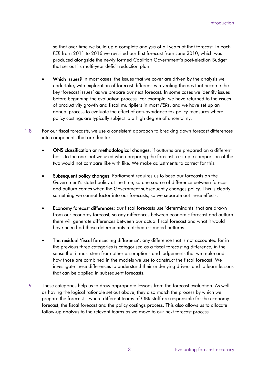so that over time we build up a complete analysis of all years of that forecast. In each *FER* from 2011 to 2016 we revisited our first forecast from June 2010, which was produced alongside the newly formed Coalition Government's post-election Budget that set out its multi-year deficit reduction plan.

- Which issues? In most cases, the issues that we cover are driven by the analysis we undertake, with exploration of forecast differences revealing themes that become the key 'forecast issues' as we prepare our next forecast. In some cases we identify issues before beginning the evaluation process. For example, we have returned to the issues of productivity growth and fiscal multipliers in most *FERs*, and we have set up an annual process to evaluate the effect of anti-avoidance tax policy measures where policy costings are typically subject to a high degree of uncertainty.
- 1.8 For our fiscal forecasts, we use a consistent approach to breaking down forecast differences into components that are due to:
	- ONS classification or methodological changes: if outturns are prepared on a different basis to the one that we used when preparing the forecast, a simple comparison of the two would not compare like with like. We make adjustments to correct for this.
	- Subsequent policy changes: Parliament requires us to base our forecasts on the Government's stated policy at the time, so one source of difference between forecast and outturn comes when the Government subsequently changes policy. This is clearly something we cannot factor into our forecasts, so we separate out these effects.
	- Economy forecast differences: our fiscal forecasts use 'determinants' that are drawn from our economy forecast, so any differences between economic forecast and outturn there will generate differences between our actual fiscal forecast and what it would have been had those determinants matched estimated outturns.
	- The residual 'fiscal forecasting difference': any difference that is not accounted for in the previous three categories is categorised as a fiscal forecasting difference, in the sense that it must stem from other assumptions and judgements that we make and how those are combined in the models we use to construct the fiscal forecast. We investigate these differences to understand their underlying drivers and to learn lessons that can be applied in subsequent forecasts.
- 1.9 These categories help us to draw appropriate lessons from the forecast evaluation. As well as having the logical rationale set out above, they also match the process by which we prepare the forecast – where different teams of OBR staff are responsible for the economy forecast, the fiscal forecast and the policy costings process. This also allows us to allocate follow-up analysis to the relevant teams as we move to our next forecast process.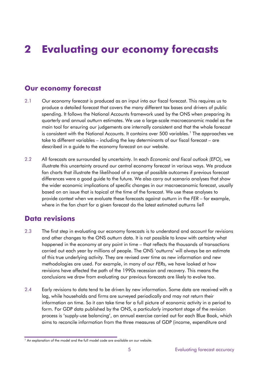# **2 Evaluating our economy forecasts**

## **Our economy forecast**

- 2.1 Our economy forecast is produced as an input into our fiscal forecast. This requires us to produce a detailed forecast that covers the many different tax bases and drivers of public spending. It follows the National Accounts framework used by the ONS when preparing its quarterly and annual outturn estimates. We use a large-scale macroeconomic model as the main tool for ensuring our judgements are internally consistent and that the whole forecast is consistent with the National Accounts. It contains over 500 variables.<sup>[1](#page-6-0)</sup> The approaches we take to different variables – including the key determinants of our fiscal forecast – are described in a guide to the economy forecast on our website.
- 2.2 All forecasts are surrounded by uncertainty. In each *Economic and fiscal outlook (EFO)*, we illustrate this uncertainty around our central economy forecast in various ways. We produce fan charts that illustrate the likelihood of a range of possible outcomes if previous forecast differences were a good guide to the future. We also carry out scenario analyses that show the wider economic implications of specific changes in our macroeconomic forecast, usually based on an issue that is topical at the time of the forecast. We use these analyses to provide context when we evaluate these forecasts against outturn in the *FER* – for example, where in the fan chart for a given forecast do the latest estimated outturns lie?

### **Data revisions**

- 2.3 The first step in evaluating our economy forecasts is to understand and account for revisions and other changes to the ONS outturn data. It is not possible to know with certainty what happened in the economy at any point in time – that reflects the thousands of transactions carried out each year by millions of people. The ONS 'outturns' will always be an estimate of this true underlying activity. They are revised over time as new information and new methodologies are used. For example, in many of our *FER*s, we have looked at how revisions have affected the path of the 1990s recession and recovery. This means the conclusions we draw from evaluating our previous forecasts are likely to evolve too.
- 2.4 Early revisions to data tend to be driven by new information. Some data are received with a lag, while households and firms are surveyed periodically and may not return their information on time. So it can take time for a full picture of economic activity in a period to form. For GDP data published by the ONS, a particularly important stage of the revision process is 'supply-use balancing', an annual exercise carried out for each Blue Book, which aims to reconcile information from the three measures of GDP (income, expenditure and

<span id="page-6-0"></span> $\overline{1}$  An explanation of the model and the full model code are available on our website.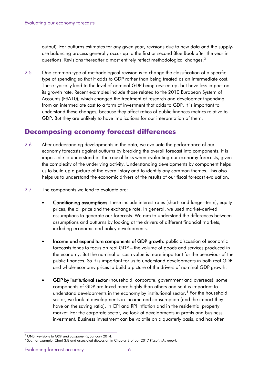output). For outturns estimates for any given year, revisions due to new data and the supplyuse balancing process generally occur up to the first or second Blue Book after the year in questions. Revisions thereafter almost entirely reflect methodological changes. [2](#page-7-0)

2.5 One common type of methodological revision is to change the classification of a specific type of spending so that it adds to GDP rather than being treated as an intermediate cost. These typically lead to the level of nominal GDP being revised up, but have less impact on its growth rate. Recent examples include those related to the 2010 European System of Accounts (ESA10), which changed the treatment of research and development spending from an intermediate cost to a form of investment that adds to GDP. It is important to understand these changes, because they affect ratios of public finances metrics relative to GDP. But they are unlikely to have implications for our interpretation of them.

### **Decomposing economy forecast differences**

- 2.6 After understanding developments in the data, we evaluate the performance of our economy forecasts against outturns by breaking the overall forecast into components. It is impossible to understand all the causal links when evaluating our economy forecasts, given the complexity of the underlying activity. Understanding developments by component helps us to build up a picture of the overall story and to identify any common themes. This also helps us to understand the economic drivers of the results of our fiscal forecast evaluation.
- 2.7 The components we tend to evaluate are:
	- Conditioning assumptions: these include interest rates (short- and longer-term), equity prices, the oil price and the exchange rate. In general, we used market-derived assumptions to generate our forecasts. We aim to understand the differences between assumptions and outturns by looking at the drivers of different financial markets, including economic and policy developments.
	- Income and expenditure components of GDP growth: public discussion of economic forecasts tends to focus on real GDP – the volume of goods and services produced in the economy. But the nominal or cash value is more important for the behaviour of the public finances. So it is important for us to understand developments in both real GDP and whole-economy prices to build a picture of the drivers of nominal GDP growth.
	- GDP by institutional sector (household, corporate, government and overseas): some components of GDP are taxed more highly than others and so it is important to understand developments in the economy by institutional sector.<sup>[3](#page-7-1)</sup> For the household sector, we look at developments in income and consumption (and the impact they have on the saving ratio), in CPI and RPI inflation and in the residential property market. For the corporate sector, we look at developments in profits and business investment. Business investment can be volatile on a quarterly basis, and has often

<span id="page-7-0"></span><sup>2</sup> ONS, *Revisions to GDP and components*, January 2014.

<span id="page-7-1"></span><sup>3</sup> See, for example, Chart 3.8 and associated discussion in Chapter 3 of our 2017 *Fiscal risks report*.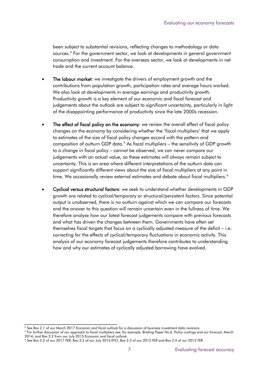been subject to substantial revisions, reflecting changes to methodology or data sources.<sup>[4](#page-8-0)</sup> For the government sector, we look at developments in general government consumption and investment. For the overseas sector, we look at developments in net trade and the current account balance.

- The labour market: we investigate the drivers of employment growth and the contributions from population growth, participation rates and average hours worked. We also look at developments in average earnings and productivity growth. Productivity growth is a key element of our economic and fiscal forecast and judgements about the outlook are subject to significant uncertainty, particularly in light of the disappointing performance of productivity since the late 2000s recession.
- The effect of fiscal policy on the economy: we review the overall effect of fiscal policy changes on the economy by considering whether the 'fiscal multipliers' that we apply to estimates of the size of fiscal policy changes accord with the pattern and composition of outturn GDP data.<sup>[5](#page-8-1)</sup> As fiscal multipliers – the sensitivity of GDP growth to a change in fiscal policy – cannot be observed, we can never compare our judgements with an actual value, so these estimates will always remain subject to uncertainty. This is an area where different interpretations of the outturn data can support significantly different views about the size of fiscal multipliers at any point in time. We occasionally review external estimates and debate about fiscal multipliers.<sup>[6](#page-8-2)</sup>
- Cyclical versus structural factors: we seek to understand whether developments in GDP growth are related to cyclical/temporary or structural/persistent factors. Since potential output is unobserved, there is no outturn against which we can compare our forecasts and the answer to this question will remain uncertain even in the fullness of time. We therefore analyse how our latest forecast judgements compare with previous forecasts and what has driven the changes between them. Governments have often set themselves fiscal targets that focus on a cyclically adjusted measure of the deficit – i.e. correcting for the effects of cyclical/temporary fluctuations in economic activity. This analysis of our economy forecast judgements therefore contributes to understanding how and why our estimates of cyclically adjusted borrowing have evolved.

<span id="page-8-0"></span><sup>4</sup> See Box 2.1 of our March 2017 *Economic and fiscal outlook* for a discussion of business investment data revisions.

<span id="page-8-1"></span><sup>5</sup> For further discussion of our approach to fiscal multipliers see, for example, *Briefing Paper No.6: Policy costings and our forecast*, March 2014; and Box 3.2 from our July 2015 *Economic and fiscal outlook.*

<span id="page-8-2"></span><sup>6</sup> See Box 2.2 of our 2017 *FER,* Box 3.2 of our July 2015 *EFO*, Box 2.3 of our 2013 *FER* and Box 2.4 of our 2012 *FER*.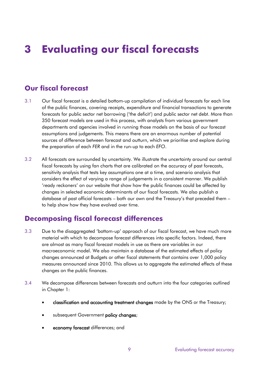# **3 Evaluating our fiscal forecasts**

# **Our fiscal forecast**

- 3.1 Our fiscal forecast is a detailed bottom-up compilation of individual forecasts for each line of the public finances, covering receipts, expenditure and financial transactions to generate forecasts for public sector net borrowing ('the deficit') and public sector net debt. More than 350 forecast models are used in this process, with analysts from various government departments and agencies involved in running those models on the basis of our forecast assumptions and judgements. This means there are an enormous number of potential sources of difference between forecast and outturn, which we prioritise and explore during the preparation of each *FER* and in the run-up to each *EFO*.
- 3.2 All forecasts are surrounded by uncertainty. We illustrate the uncertainty around our central fiscal forecasts by using fan charts that are calibrated on the accuracy of past forecasts, sensitivity analysis that tests key assumptions one at a time, and scenario analysis that considers the effect of varying a range of judgements in a consistent manner. We publish 'ready reckoners' on our website that show how the public finances could be affected by changes in selected economic determinants of our fiscal forecasts. We also publish a database of past official forecasts – both our own and the Treasury's that preceded them – to help show how they have evolved over time.

### **Decomposing fiscal forecast differences**

- 3.3 Due to the disaggregated 'bottom-up' approach of our fiscal forecast, we have much more material with which to decompose forecast differences into specific factors. Indeed, there are almost as many fiscal forecast models in use as there are variables in our macroeconomic model. We also maintain a database of the estimated effects of policy changes announced at Budgets or other fiscal statements that contains over 1,000 policy measures announced since 2010. This allows us to aggregate the estimated effects of these changes on the public finances.
- 3.4 We decompose differences between forecasts and outturn into the four categories outlined in Chapter 1:
	- classification and accounting treatment changes made by the ONS or the Treasury;
	- subsequent Government policy changes;
	- economy forecast differences; and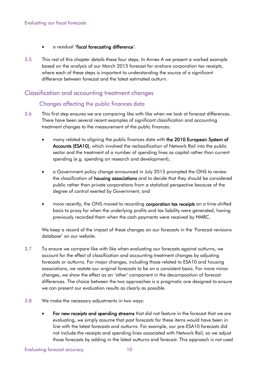- a residual 'fiscal forecasting difference'.
- 3.5 This rest of this chapter details these four steps. In Annex A we present a worked example based on the analysis of our March 2015 forecast for onshore corporation tax receipts, where each of these steps is important to understanding the source of a significant difference between forecast and the latest estimated outturn.

#### Classification and accounting treatment changes

#### Changes affecting the public finances data

- 3.6 This first step ensures we are comparing like with like when we look at forecast differences. There have been several recent examples of significant classification and accounting treatment changes to the measurement of the public finances:
	- many related to aligning the public finances data with the 2010 European System of Accounts (ESA10), which involved the reclassification of Network Rail into the public sector and the treatment of a number of spending lines as capital rather than current spending (e.g. spending on research and development);
	- a Government policy change announced in July 2015 prompted the ONS to review the classification of housing associations and to decide that they should be considered public rather than private corporations from a statistical perspective because of the degree of control exerted by Government; and
	- more recently, the ONS moved to recording corporation tax receipts on a time-shifted basis to proxy for when the underlying profits and tax liability were generated, having previously recorded them when the cash payments were received by HMRC.

We keep a record of the impact of these changes on our forecasts in the 'Forecast revisions database' on our website.

- 3.7 To ensure we compare like with like when evaluating our forecasts against outturns, we account for the effect of classification and accounting treatment changes by adjusting forecasts or outturns. For major changes, including those related to ESA10 and housing associations, we restate our original forecasts to be on a consistent basis. For more minor changes, we show the effect as an 'other' component in the decomposition of forecast differences. The choice between the two approaches is a pragmatic one designed to ensure we can present our evaluation results as clearly as possible.
- 3.8 We make the necessary adjustments in two ways:
	- For new receipts and spending streams that did not feature in the forecast that we are evaluating, we simply assume that past forecasts for these items would have been in line with the latest forecasts and outturns. For example, our pre-ESA10 forecasts did not include the receipts and spending lines associated with Network Rail, so we adjust those forecasts by adding in the latest outturns and forecast. This approach is not used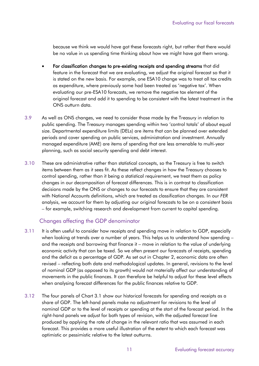because we think we would have got these forecasts right, but rather that there would be no value in us spending time thinking about how we might have got them wrong.

- For classification changes to pre-existing receipts and spending streams that did feature in the forecast that we are evaluating, we adjust the original forecast so that it is stated on the new basis. For example, one ESA10 change was to treat all tax credits as expenditure, where previously some had been treated as 'negative tax'. When evaluating our pre-ESA10 forecasts, we remove the negative tax element of the original forecast and add it to spending to be consistent with the latest treatment in the ONS outturn data.
- 3.9 As well as ONS changes, we need to consider those made by the Treasury in relation to public spending. The Treasury manages spending within two 'control totals' of about equal size. Departmental expenditure limits (DELs) are items that can be planned over extended periods and cover spending on public services, administration and investment. Annually managed expenditure (AME) are items of spending that are less amenable to multi-year planning, such as social security spending and debt interest.
- 3.10 These are administrative rather than statistical concepts, so the Treasury is free to switch items between them as it sees fit. As these reflect changes in how the Treasury chooses to control spending, rather than it being a statistical requirement, we treat them as policy changes in our decomposition of forecast differences. This is in contrast to classification decisions made by the ONS or changes to our forecasts to ensure that they are consistent with National Accounts definitions, which are treated as classification changes. In our *FER* analysis, we account for them by adjusting our original forecasts to be on a consistent basis – for example, switching research and development from current to capital spending.

#### Changes affecting the GDP denominator

- 3.11 It is often useful to consider how receipts and spending move in relation to GDP, especially when looking at trends over a number of years. This helps us to understand how spending – and the receipts and borrowing that finance it – move in relation to the value of underlying economic activity that can be taxed. So we often present our forecasts of receipts, spending and the deficit as a percentage of GDP. As set out in Chapter 2, economic data are often revised – reflecting both data and methodological updates. In general, revisions to the level of nominal GDP (as opposed to its growth) would not materially affect our understanding of movements in the public finances. It can therefore be helpful to adjust for these level effects when analysing forecast differences for the public finances relative to GDP.
- 3.12 The four panels of Chart 3.1 show our historical forecasts for spending and receipts as a share of GDP. The left-hand panels make no adjustment for revisions to the level of nominal GDP or to the level of receipts or spending at the start of the forecast period. In the right-hand panels we adjust for both types of revision, with the adjusted forecast line produced by applying the rate of change in the relevant ratio that was assumed in each forecast. This provides a more useful illustration of the extent to which each forecast was optimistic or pessimistic relative to the latest outturns.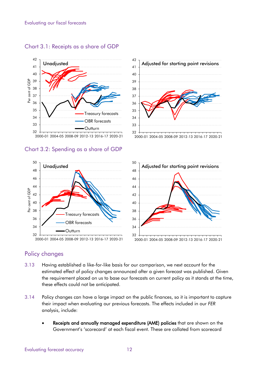

#### Chart 3.1: Receipts as a share of GDP

Chart 3.2: Spending as a share of GDP





2000-01 2004-05 2008-09 2012-13 2016-17 2020-21



#### Policy changes

- 3.13 Having established a like-for-like basis for our comparison, we next account for the estimated effect of policy changes announced after a given forecast was published. Given the requirement placed on us to base our forecasts on current policy as it stands at the time, these effects could not be anticipated.
- 3.14 Policy changes can have a large impact on the public finances, so it is important to capture their impact when evaluating our previous forecasts. The effects included in our *FER*  analysis, include:
	- Receipts and annually managed expenditure (AME) policies that are shown on the Government's 'scorecard' at each fiscal event. These are collated from scorecard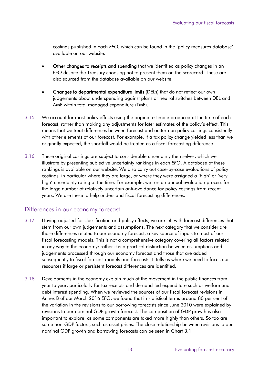costings published in each *EFO*, which can be found in the 'policy measures database' available on our website.

- Other changes to receipts and spending that we identified as policy changes in an *EFO* despite the Treasury choosing not to present them on the scorecard. These are also sourced from the database available on our website.
- Changes to departmental expenditure limits (DELs) that do not reflect our own judgements about underspending against plans or neutral switches between DEL and AME within total managed expenditure (TME).
- 3.15 We account for most policy effects using the original estimate produced at the time of each forecast, rather than making any adjustments for later estimates of the policy's effect. This means that we treat differences between forecast and outturn on policy costings consistently with other elements of our forecast. For example, if a tax policy change yielded less than we originally expected, the shortfall would be treated as a fiscal forecasting difference.
- 3.16 These original costings are subject to considerable uncertainty themselves, which we illustrate by presenting subjective uncertainty rankings in each *EFO*. A database of these rankings is available on our website. We also carry out case-by-case evaluations of policy costings, in particular where they are large, or where they were assigned a 'high' or 'very high' uncertainty rating at the time. For example, we run an annual evaluation process for the large number of relatively uncertain anti-avoidance tax policy costings from recent years. We use these to help understand fiscal forecasting differences.

#### Differences in our economy forecast

- 3.17 Having adjusted for classification and policy effects, we are left with forecast differences that stem from our own judgements and assumptions. The next category that we consider are those differences related to our economy forecast, a key source of inputs to most of our fiscal forecasting models. This is not a comprehensive category covering all factors related in any way to the economy; rather it is a practical distinction between assumptions and judgements processed through our economy forecast and those that are added subsequently to fiscal forecast models and forecasts. It tells us where we need to focus our resources if large or persistent forecast differences are identified.
- 3.18 Developments in the economy explain much of the movement in the public finances from year to year, particularly for tax receipts and demand-led expenditure such as welfare and debt interest spending. When we reviewed the sources of our fiscal forecast revisions in Annex B of our March 2016 *EFO*, we found that in statistical terms around 80 per cent of the variation in the revisions to our borrowing forecasts since June 2010 were explained by revisions to our nominal GDP growth forecast. The composition of GDP growth is also important to explore, as some components are taxed more highly than others. So too are some non-GDP factors, such as asset prices. The close relationship between revisions to our nominal GDP growth and borrowing forecasts can be seen in Chart 3.1.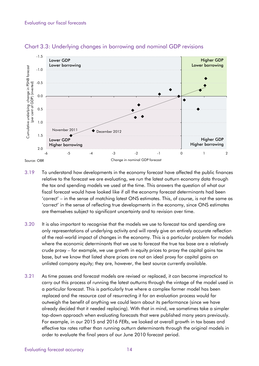

#### Chart 3.3: Underlying changes in borrowing and nominal GDP revisions

- 3.19 To understand how developments in the economy forecast have affected the public finances relative to the forecast we are evaluating, we run the latest outturn economy data through the tax and spending models we used at the time. This answers the question of what our fiscal forecast would have looked like if all the economy forecast determinants had been 'correct' – in the sense of matching latest ONS estimates. This, of course, is not the same as 'correct' in the sense of reflecting true developments in the economy, since ONS estimates are themselves subject to significant uncertainty and to revision over time.
- 3.20 It is also important to recognise that the models we use to forecast tax and spending are only representations of underlying activity and will rarely give an entirely accurate reflection of the real-world impact of changes in the economy. This is a particular problem for models where the economic determinants that we use to forecast the true tax base are a relatively crude proxy – for example, we use growth in equity prices to proxy the capital gains tax base, but we know that listed share prices are not an ideal proxy for capital gains on unlisted company equity; they are, however, the best source currently available.
- 3.21 As time passes and forecast models are revised or replaced, it can become impractical to carry out this process of running the latest outturns through the vintage of the model used in a particular forecast. This is particularly true where a complex former model has been replaced and the resource cost of resurrecting it for an evaluation process would far outweigh the benefit of anything we could learn about its performance (since we have already decided that it needed replacing). With that in mind, we sometimes take a simpler top-down approach when evaluating forecasts that were published many years previously. For example, in our 2015 and 2016 *FERs*, we looked at overall growth in tax bases and effective tax rates rather than running outturn determinants through the original models in order to evaluate the final years of our June 2010 forecast period.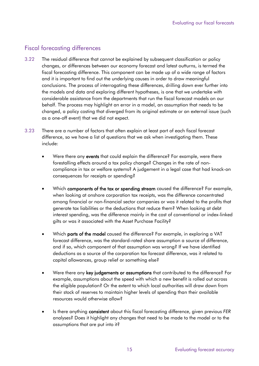#### Fiscal forecasting differences

- 3.22 The residual difference that cannot be explained by subsequent classification or policy changes, or differences between our economy forecast and latest outturns, is termed the fiscal forecasting difference. This component can be made up of a wide range of factors and it is important to find out the underlying causes in order to draw meaningful conclusions. The process of interrogating these differences, drilling down ever further into the models and data and exploring different hypotheses, is one that we undertake with considerable assistance from the departments that run the fiscal forecast models on our behalf. The process may highlight an error in a model, an assumption that needs to be changed, a policy costing that diverged from its original estimate or an external issue (such as a one-off event) that we did not expect.
- 3.23 There are a number of factors that often explain at least part of each fiscal forecast difference, so we have a list of questions that we ask when investigating them. These include:
	- Were there any events that could explain the difference? For example, were there forestalling effects around a tax policy change? Changes in the rate of noncompliance in tax or welfare systems? A judgement in a legal case that had knock-on consequences for receipts or spending?
	- Which components of the tax or spending stream caused the difference? For example, when looking at onshore corporation tax receipts, was the difference concentrated among financial or non-financial sector companies or was it related to the profits that generate tax liabilities or the deductions that reduce them? When looking at debt interest spending, was the difference mainly in the cost of conventional or index-linked gilts or was it associated with the Asset Purchase Facility?
	- Which **parts of the model** caused the difference? For example, in exploring a VAT forecast difference, was the standard-rated share assumption a source of difference, and if so, which component of that assumption was wrong? If we have identified deductions as a source of the corporation tax forecast difference, was it related to capital allowances, group relief or something else?
	- Were there any key judgements or assumptions that contributed to the difference? For example, assumptions about the speed with which a new benefit is rolled out across the eligible population? Or the extent to which local authorities will draw down from their stock of reserves to maintain higher levels of spending than their available resources would otherwise allow?
	- Is there anything consistent about this fiscal forecasting difference, given previous *FER* analyses? Does it highlight any changes that need to be made to the model or to the assumptions that are put into it?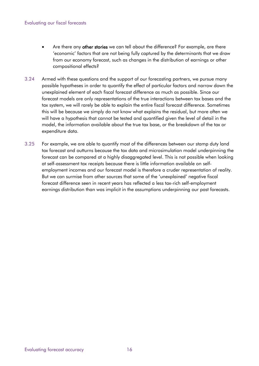#### Evaluating our fiscal forecasts

- Are there any other stories we can tell about the difference? For example, are there 'economic' factors that are not being fully captured by the determinants that we draw from our economy forecast, such as changes in the distribution of earnings or other compositional effects?
- 3.24 Armed with these questions and the support of our forecasting partners, we pursue many possible hypotheses in order to quantify the effect of particular factors and narrow down the unexplained element of each fiscal forecast difference as much as possible. Since our forecast models are only representations of the true interactions between tax bases and the tax system, we will rarely be able to explain the entire fiscal forecast difference. Sometimes this will be because we simply do not know what explains the residual, but more often we will have a hypothesis that cannot be tested and quantified given the level of detail in the model, the information available about the true tax base, or the breakdown of the tax or expenditure data.
- 3.25 For example, we are able to quantify most of the differences between our stamp duty land tax forecast and outturns because the tax data and microsimulation model underpinning the forecast can be compared at a highly disaggregated level. This is not possible when looking at self-assessment tax receipts because there is little information available on selfemployment incomes and our forecast model is therefore a cruder representation of reality. But we can surmise from other sources that some of the 'unexplained' negative fiscal forecast difference seen in recent years has reflected a less tax-rich self-employment earnings distribution than was implicit in the assumptions underpinning our past forecasts.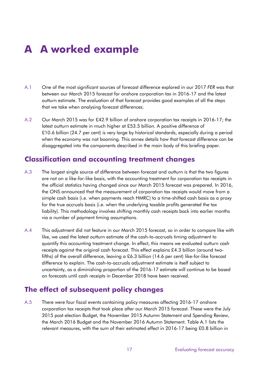# **A A worked example**

- A.1 One of the most significant sources of forecast difference explored in our 2017 *FER* was that between our March 2015 forecast for onshore corporation tax in 2016-17 and the latest outturn estimate. The evaluation of that forecast provides good examples of all the steps that we take when analysing forecast differences.
- A.2 Our March 2015 was for £42.9 billion of onshore corporation tax receipts in 2016-17; the latest outturn estimate in much higher at £53.5 billion. A positive difference of £10.6 billion (24.7 per cent) is very large by historical standards, especially during a period when the economy was not booming. This annex details how that forecast difference can be disaggregated into the components described in the main body of this briefing paper.

### **Classification and accounting treatment changes**

- A.3 The largest single source of difference between forecast and outturn is that the two figures are not on a like-for-like basis, with the accounting treatment for corporation tax receipts in the official statistics having changed since our March 2015 forecast was prepared. In 2016, the ONS announced that the measurement of corporation tax receipts would move from a simple cash basis (i.e. when payments reach HMRC) to a time-shifted cash basis as a proxy for the true accruals basis (i.e. when the underlying taxable profits generated the tax liability). This methodology involves shifting monthly cash receipts back into earlier months via a number of payment timing assumptions.
- A.4 This adjustment did not feature in our March 2015 forecast, so in order to compare like with like, we used the latest outturn estimate of the cash-to-accruals timing adjustment to quantify this accounting treatment change. In effect, this means we evaluated outturn cash receipts against the original cash forecast. This effect explains £4.3 billion (around twofifths) of the overall difference, leaving a £6.3 billion (14.6 per cent) like-for-like forecast difference to explain. The cash-to-accruals adjustment estimate is itself subject to uncertainty, as a diminishing proportion of the 2016-17 estimate will continue to be based on forecasts until cash receipts in December 2018 have been received.

# **The effect of subsequent policy changes**

A.5 There were four fiscal events containing policy measures affecting 2016-17 onshore corporation tax receipts that took place after our March 2015 forecast. These were the July 2015 post-election Budget, the November 2015 Autumn Statement and Spending Review, the March 2016 Budget and the November 2016 Autumn Statement. Table A.1 lists the relevant measures, with the sum of their estimated effect in 2016-17 being £0.8 billion in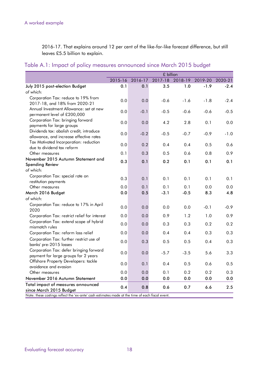2016-17. That explains around 12 per cent of the like-for-like forecast difference, but still leaves £5.5 billion to explain.

|  |  |  |  | Table A.1: Impact of policy measures announced since March 2015 budget |  |  |  |  |
|--|--|--|--|------------------------------------------------------------------------|--|--|--|--|
|--|--|--|--|------------------------------------------------------------------------|--|--|--|--|

|                                                                                                                                                                                                      | 2015-16 |         |         |         |         |         |
|------------------------------------------------------------------------------------------------------------------------------------------------------------------------------------------------------|---------|---------|---------|---------|---------|---------|
|                                                                                                                                                                                                      |         | 2016-17 | 2017-18 | 2018-19 | 2019-20 | 2020-21 |
| July 2015 post-election Budget                                                                                                                                                                       | 0.1     | 0.1     | 3.5     | 1.0     | $-1.9$  | $-2.4$  |
| of which:                                                                                                                                                                                            |         |         |         |         |         |         |
| Corporation Tax: reduce to 19% from<br>2017-18, and 18% from 2020-21                                                                                                                                 | 0.0     | 0.0     | $-0.6$  | $-1.6$  | $-1.8$  | $-2.4$  |
| Annual Investment Allowance: set at new<br>permanent level of £200,000                                                                                                                               | 0.0     | $-0.1$  | $-0.5$  | $-0.6$  | $-0.6$  | $-0.5$  |
| Corporation Tax: bringing forward<br>payments for large groups                                                                                                                                       | 0.0     | 0.0     | 4.2     | 2.8     | 0.1     | 0.0     |
| Dividends tax: abolish credit, introduce<br>allowance, and increase effective rates                                                                                                                  | 0.0     | $-0.2$  | $-0.5$  | $-0.7$  | $-0.9$  | $-1.0$  |
| Tax Motivated Incorporation: reduction<br>due to dividend tax reform                                                                                                                                 | 0.0     | 0.2     | 0.4     | 0.4     | 0.5     | 0.6     |
| Other measures                                                                                                                                                                                       | 0.1     | 0.3     | 0.5     | 0.6     | 0.8     | 0.9     |
| November 2015 Autumn Statement and                                                                                                                                                                   | 0.3     | 0.1     | 0.2     | 0.1     | 0.1     | 0.1     |
| <b>Spending Review</b>                                                                                                                                                                               |         |         |         |         |         |         |
| of which:                                                                                                                                                                                            |         |         |         |         |         |         |
| Corporation Tax: special rate on<br>restitution payments                                                                                                                                             | 0.3     | 0.1     | 0.1     | 0.1     | 0.1     | 0.1     |
| Other measures                                                                                                                                                                                       | 0.0     | 0.1     | 0.1     | 0.1     | 0.0     | 0.0     |
| March 2016 Budget                                                                                                                                                                                    | 0.0     | 0.5     | $-3.1$  | $-0.5$  | 8.3     | 4.8     |
| of which:                                                                                                                                                                                            |         |         |         |         |         |         |
| Corporation Tax: reduce to 17% in April<br>2020                                                                                                                                                      | 0.0     | 0.0     | 0.0     | 0.0     | $-0.1$  | $-0.9$  |
| Corporation Tax: restrict relief for interest                                                                                                                                                        | 0.0     | 0.0     | 0.9     | 1.2     | 1.0     | 0.9     |
| Corporation Tax: extend scope of hybrid<br>mismatch rules                                                                                                                                            | 0.0     | 0.0     | 0.3     | 0.3     | 0.2     | 0.2     |
| Corporation Tax: reform loss relief                                                                                                                                                                  | 0.0     | 0.0     | 0.4     | 0.4     | 0.3     | 0.3     |
| Corporation Tax: further restrict use of<br>banks' pre-2015 losses                                                                                                                                   | 0.0     | 0.3     | 0.5     | 0.5     | 0.4     | 0.3     |
| Corporation Tax: defer bringing forward<br>payment for large groups for 2 years                                                                                                                      | 0.0     | 0.0     | $-5.7$  | $-3.5$  | 5.6     | 3.3     |
| Offshore Property Developers: tackle<br>avoidance and evasion                                                                                                                                        | 0.0     | 0.1     | 0.4     | 0.5     | 0.6     | 0.5     |
| Other measures                                                                                                                                                                                       | 0.0     | 0.0     | 0.1     | 0.2     | 0.2     | 0.3     |
| November 2016 Autumn Statement                                                                                                                                                                       | 0.0     | 0.0     | 0.0     | 0.0     | 0.0     | 0.0     |
| Total impact of measures announced<br>0.4<br>0.8<br>0.6<br>0.7<br>6.6<br>since March 2015 Budget<br>Note: these costings reflect the 'ex-ante' cash estimates made at the time of each fiscal event. |         |         |         |         |         | 2.5     |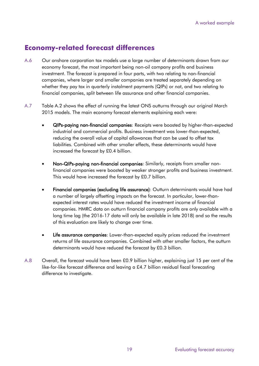# **Economy-related forecast differences**

- A.6 Our onshore corporation tax models use a large number of determinants drawn from our economy forecast, the most important being non-oil company profits and business investment. The forecast is prepared in four parts, with two relating to non-financial companies, where larger and smaller companies are treated separately depending on whether they pay tax in quarterly instalment payments (QIPs) or not, and two relating to financial companies, split between life assurance and other financial companies.
- A.7 Table A.2 shows the effect of running the latest ONS outturns through our original March 2015 models. The main economy forecast elements explaining each were:
	- QIPs-paying non-financial companies: Receipts were boosted by higher-than-expected industrial and commercial profits. Business investment was lower-than-expected, reducing the overall value of capital allowances that can be used to offset tax liabilities. Combined with other smaller effects, these determinants would have increased the forecast by £0.4 billion.
	- Non-QIPs-paying non-financial companies: Similarly, receipts from smaller nonfinancial companies were boosted by weaker stronger profits and business investment. This would have increased the forecast by £0.7 billion.
	- Financial companies (excluding life assurance): Outturn determinants would have had a number of largely offsetting impacts on the forecast. In particular, lower-thanexpected interest rates would have reduced the investment income of financial companies. HMRC data on outturn financial company profits are only available with a long time lag (the 2016-17 data will only be available in late 2018) and so the results of this evaluation are likely to change over time.
	- Life assurance companies: Lower-than-expected equity prices reduced the investment returns of life assurance companies. Combined with other smaller factors, the outturn determinants would have reduced the forecast by £0.3 billion.
- A.8 Overall, the forecast would have been £0.9 billion higher, explaining just 15 per cent of the like-for-like forecast difference and leaving a £4.7 billion residual fiscal forecasting difference to investigate.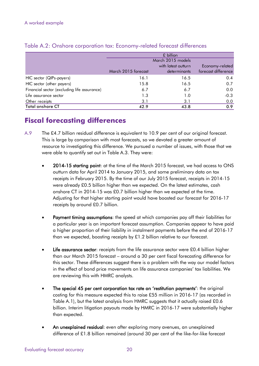|                                             | $£$ billion         |                     |                     |  |  |
|---------------------------------------------|---------------------|---------------------|---------------------|--|--|
|                                             | March 2015 models   |                     |                     |  |  |
|                                             |                     | with latest outturn | Economy-related     |  |  |
|                                             | March 2015 forecast | determinants        | forecast difference |  |  |
| HIC sector (QIPs-payers)                    | 16.1                | 16.5                | 0.4                 |  |  |
| HIC sector (other payers)                   | 15.8                | 16.5                | 0.7                 |  |  |
| Financial sector (excluding life assurance) | 6.7                 | 6.7                 | 0.0                 |  |  |
| Life assurance sector                       | 1.3                 | 1.0                 | $-0.3$              |  |  |
| Other receipts                              | 3.1                 | 3.1                 | 0.0                 |  |  |
| <b>Total onshore CT</b>                     | 42.9                | 43.8                | 0.9                 |  |  |

#### Table A.2: Onshore corporation tax: Economy-related forecast differences

# **Fiscal forecasting differences**

- A.9 The £4.7 billion residual difference is equivalent to 10.9 per cent of our original forecast. This is large by comparison with most forecasts, so we devoted a greater amount of resource to investigating this difference. We pursued a number of issues, with those that we were able to quantify set out in Table A.3. They were:
	- 2014-15 starting point: at the time of the March 2015 forecast, we had access to ONS outturn data for April 2014 to January 2015, and some preliminary data on tax receipts in February 2015. By the time of our July 2015 forecast, receipts in 2014-15 were already £0.5 billion higher than we expected. On the latest estimates, cash onshore CT in 2014-15 was £0.7 billion higher than we expected at the time. Adjusting for that higher starting point would have boosted our forecast for 2016-17 receipts by around £0.7 billion.
	- Payment timing assumptions: the speed at which companies pay off their liabilities for a particular year is an important forecast assumption. Companies appear to have paid a higher proportion of their liability in instalment payments before the end of 2016-17 than we expected, boosting receipts by £1.2 billion relative to our forecast.
	- Life assurance sector: receipts from the life assurance sector were £0.4 billion higher than our March 2015 forecast – around a 30 per cent fiscal forecasting difference for this sector. These differences suggest there is a problem with the way our model factors in the effect of bond price movements on life assurance companies' tax liabilities. We are reviewing this with HMRC analysts.
	- The special 45 per cent corporation tax rate on 'restitution payments': the original costing for this measure expected this to raise £55 million in 2016-17 (as recorded in Table A.1), but the latest analysis from HMRC suggests that it actually raised £0.6 billion. Interim litigation payouts made by HMRC in 2016-17 were substantially higher than expected.
	- An unexplained residual: even after exploring many avenues, an unexplained difference of £1.8 billion remained (around 30 per cent of the like-for-like forecast